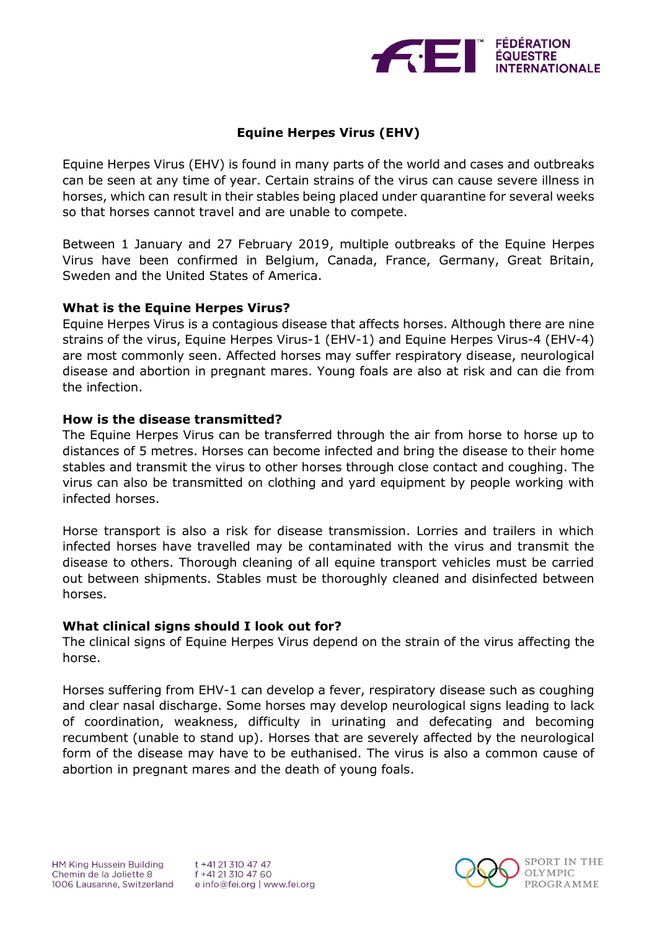

# **Equine Herpes Virus (EHV)**

Equine Herpes Virus (EHV) is found in many parts of the world and cases and outbreaks can be seen at any time of year. Certain strains of the virus can cause severe illness in horses, which can result in their stables being placed under quarantine for several weeks so that horses cannot travel and are unable to compete.

Between 1 January and 27 February 2019, multiple outbreaks of the Equine Herpes Virus have been confirmed in Belgium, Canada, France, Germany, Great Britain, Sweden and the United States of America.

### **What is the Equine Herpes Virus?**

Equine Herpes Virus is a contagious disease that affects horses. Although there are nine strains of the virus, Equine Herpes Virus-1 (EHV-1) and Equine Herpes Virus-4 (EHV-4) are most commonly seen. Affected horses may suffer respiratory disease, neurological disease and abortion in pregnant mares. Young foals are also at risk and can die from the infection.

### **How is the disease transmitted?**

The Equine Herpes Virus can be transferred through the air from horse to horse up to distances of 5 metres. Horses can become infected and bring the disease to their home stables and transmit the virus to other horses through close contact and coughing. The virus can also be transmitted on clothing and yard equipment by people working with infected horses.

Horse transport is also a risk for disease transmission. Lorries and trailers in which infected horses have travelled may be contaminated with the virus and transmit the disease to others. Thorough cleaning of all equine transport vehicles must be carried out between shipments. Stables must be thoroughly cleaned and disinfected between horses.

### **What clinical signs should I look out for?**

The clinical signs of Equine Herpes Virus depend on the strain of the virus affecting the horse.

Horses suffering from EHV-1 can develop a fever, respiratory disease such as coughing and clear nasal discharge. Some horses may develop neurological signs leading to lack of coordination, weakness, difficulty in urinating and defecating and becoming recumbent (unable to stand up). Horses that are severely affected by the neurological form of the disease may have to be euthanised. The virus is also a common cause of abortion in pregnant mares and the death of young foals.

t +41 21 310 47 47 f +41 21 310 47 60 e info@fei.org | www.fei.org

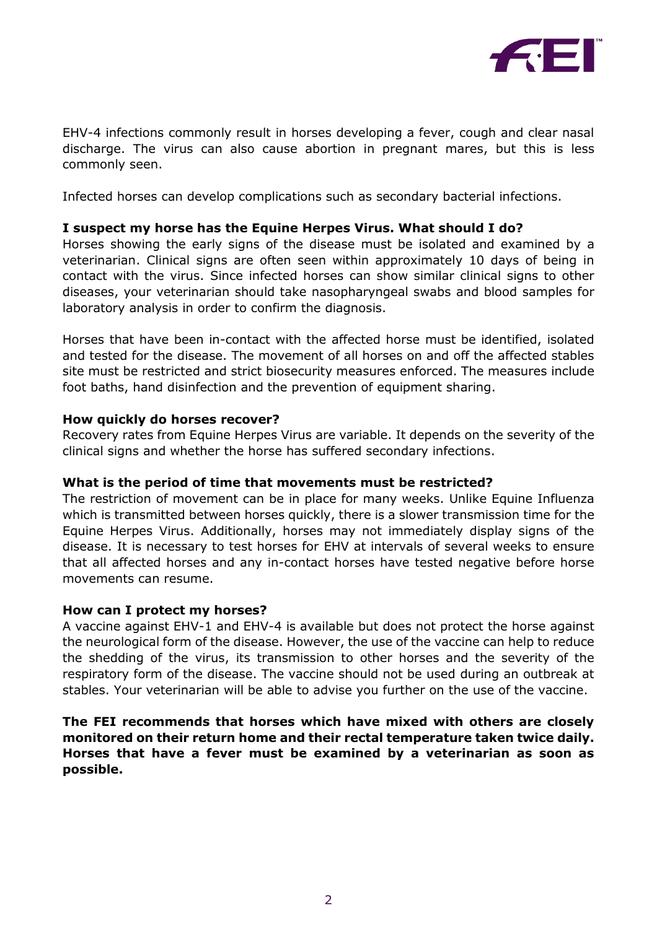

EHV-4 infections commonly result in horses developing a fever, cough and clear nasal discharge. The virus can also cause abortion in pregnant mares, but this is less commonly seen.

Infected horses can develop complications such as secondary bacterial infections.

## **I suspect my horse has the Equine Herpes Virus. What should I do?**

Horses showing the early signs of the disease must be isolated and examined by a veterinarian. Clinical signs are often seen within approximately 10 days of being in contact with the virus. Since infected horses can show similar clinical signs to other diseases, your veterinarian should take nasopharyngeal swabs and blood samples for laboratory analysis in order to confirm the diagnosis.

Horses that have been in-contact with the affected horse must be identified, isolated and tested for the disease. The movement of all horses on and off the affected stables site must be restricted and strict biosecurity measures enforced. The measures include foot baths, hand disinfection and the prevention of equipment sharing.

### **How quickly do horses recover?**

Recovery rates from Equine Herpes Virus are variable. It depends on the severity of the clinical signs and whether the horse has suffered secondary infections.

### **What is the period of time that movements must be restricted?**

The restriction of movement can be in place for many weeks. Unlike Equine Influenza which is transmitted between horses quickly, there is a slower transmission time for the Equine Herpes Virus. Additionally, horses may not immediately display signs of the disease. It is necessary to test horses for EHV at intervals of several weeks to ensure that all affected horses and any in-contact horses have tested negative before horse movements can resume.

### **How can I protect my horses?**

A vaccine against EHV-1 and EHV-4 is available but does not protect the horse against the neurological form of the disease. However, the use of the vaccine can help to reduce the shedding of the virus, its transmission to other horses and the severity of the respiratory form of the disease. The vaccine should not be used during an outbreak at stables. Your veterinarian will be able to advise you further on the use of the vaccine.

## **The FEI recommends that horses which have mixed with others are closely monitored on their return home and their rectal temperature taken twice daily. Horses that have a fever must be examined by a veterinarian as soon as possible.**